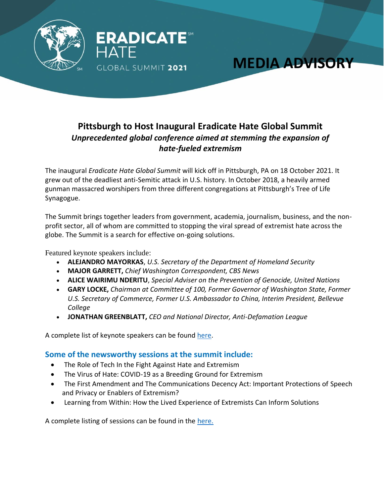

## **Pittsburgh to Host Inaugural Eradicate Hate Global Summit** *Unprecedented global conference aimed at stemming the expansion of hate-fueled extremism*

**MEDIA ADVISORY**

The inaugural *Eradicate Hate Global Summit* will kick off in Pittsburgh, PA on 18 October 2021. It grew out of the deadliest anti-Semitic attack in U.S. history. In October 2018, a heavily armed gunman massacred worshipers from three different congregations at Pittsburgh's Tree of Life Synagogue.

The Summit brings together leaders from government, academia, journalism, business, and the nonprofit sector, all of whom are committed to stopping the viral spread of extremist hate across the globe. The Summit is a search for effective on-going solutions.

Featured keynote speakers include:

- **ALEJANDRO MAYORKAS**, *U.S. Secretary of the Department of Homeland Security*
- **MAJOR GARRETT,** *Chief Washington Correspondent, CBS News*
- **ALICE WAIRIMU NDERITU**, *Special Adviser on the Prevention of Genocide, United Nations*
- **GARY LOCKE,** *Chairman at Committee of 100, Former Governor of Washington State, Former U.S. Secretary of Commerce, Former U.S. Ambassador to China, Interim President, Bellevue College*
- **JONATHAN GREENBLATT,** *CEO and National Director, Anti-Defamation League*

A complete list of keynote speakers can be found [here.](https://eradicatehatesummit.org/home/2021-summit/dignitaries-speakers/keynote-speakers/)

## **Some of the newsworthy sessions at the summit include:**

- The Role of Tech In the Fight Against Hate and Extremism
- The Virus of Hate: COVID-19 as a Breeding Ground for Extremism
- The First Amendment and The Communications Decency Act: Important Protections of Speech and Privacy or Enablers of Extremism?
- Learning from Within: How the Lived Experience of Extremists Can Inform Solutions

A complete listing of sessions can be found in the [here.](https://eradicatehatesummit.org/wp-content/uploads/2021/10/2021-Eradicate-Hate-Global-Summit-10.13.21.pdf)